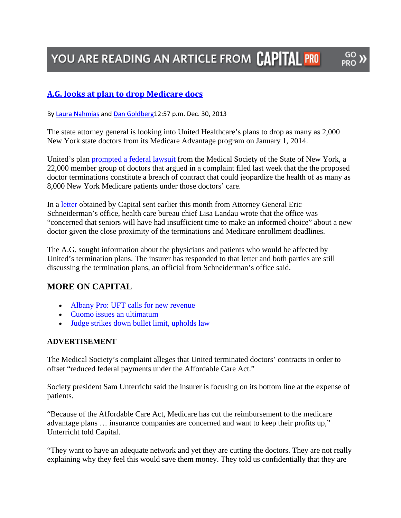# YOU ARE READING AN ARTICLE FROM CAPITAL PRO

PRO

## **A.G. looks at plan to drop Medicare docs**

By Laura Nahmias and Dan Goldberg12:57 p.m. Dec. 30, 2013

The state attorney general is looking into United Healthcare's plans to drop as many as 2,000 New York state doctors from its Medicare Advantage program on January 1, 2014.

United's plan prompted a federal lawsuit from the Medical Society of the State of New York, a 22,000 member group of doctors that argued in a complaint filed last week that the the proposed doctor terminations constitute a breach of contract that could jeopardize the health of as many as 8,000 New York Medicare patients under those doctors' care.

In a letter obtained by Capital sent earlier this month from Attorney General Eric Schneiderman's office, health care bureau chief Lisa Landau wrote that the office was "concerned that seniors will have had insufficient time to make an informed choice" about a new doctor given the close proximity of the terminations and Medicare enrollment deadlines.

The A.G. sought information about the physicians and patients who would be affected by United's termination plans. The insurer has responded to that letter and both parties are still discussing the termination plans, an official from Schneiderman's office said.

## **MORE ON CAPITAL**

- Albany Pro: UFT calls for new revenue
- Cuomo issues an ultimatum
- Judge strikes down bullet limit, upholds law

### **ADVERTISEMENT**

The Medical Society's complaint alleges that United terminated doctors' contracts in order to offset "reduced federal payments under the Affordable Care Act."

Society president Sam Unterricht said the insurer is focusing on its bottom line at the expense of patients.

"Because of the Affordable Care Act, Medicare has cut the reimbursement to the medicare advantage plans … insurance companies are concerned and want to keep their profits up," Unterricht told Capital.

"They want to have an adequate network and yet they are cutting the doctors. They are not really explaining why they feel this would save them money. They told us confidentially that they are